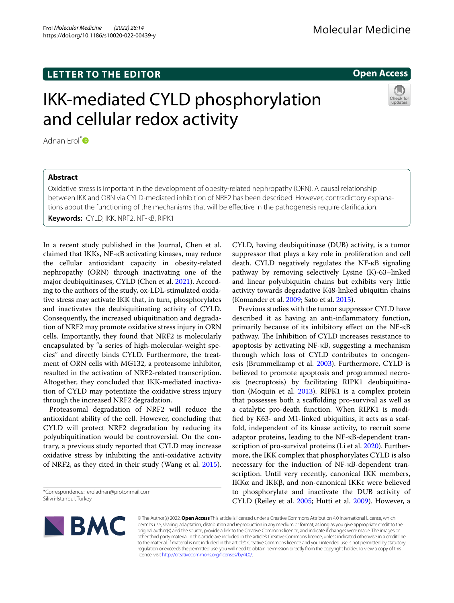## **LETTER TO THE EDITOR**

# IKK-mediated CYLD phosphorylation and cellular redox activity

Adnan Frol<sup>[\\*](http://orcid.org/0000-0002-2741-9755)</sup><sup>D</sup>

### **Abstract**

Oxidative stress is important in the development of obesity-related nephropathy (ORN). A causal relationship between IKK and ORN via CYLD-mediated inhibition of NRF2 has been described. However, contradictory explanations about the functioning of the mechanisms that will be efective in the pathogenesis require clarifcation.

**Keywords:** CYLD, IKK, NRF2, NF-κB, RIPK1

In a recent study published in the Journal, Chen et al. claimed that IKKs, NF-κB activating kinases, may reduce the cellular antioxidant capacity in obesity-related nephropathy (ORN) through inactivating one of the major deubiquitinases, CYLD (Chen et al. [2021](#page-2-0)). According to the authors of the study, ox-LDL-stimulated oxidative stress may activate IKK that, in turn, phosphorylates and inactivates the deubiquitinating activity of CYLD. Consequently, the increased ubiquitination and degradation of NRF2 may promote oxidative stress injury in ORN cells. Importantly, they found that NRF2 is molecularly encapsulated by "a series of high-molecular-weight species" and directly binds CYLD. Furthermore, the treatment of ORN cells with MG132, a proteasome inhibitor, resulted in the activation of NRF2-related transcription. Altogether, they concluded that IKK-mediated inactivation of CYLD may potentiate the oxidative stress injury through the increased NRF2 degradation.

Proteasomal degradation of NRF2 will reduce the antioxidant ability of the cell. However, concluding that CYLD will protect NRF2 degradation by reducing its polyubiquitination would be controversial. On the contrary, a previous study reported that CYLD may increase oxidative stress by inhibiting the anti-oxidative activity of NRF2, as they cited in their study (Wang et al. [2015](#page-2-1)).

\*Correspondence: eroladnan@protonmail.com Silivri-Istanbul, Turkey

CYLD, having deubiquitinase (DUB) activity, is a tumor suppressor that plays a key role in proliferation and cell death. CYLD negatively regulates the NF-κB signaling pathway by removing selectively Lysine (K)-63–linked and linear polyubiquitin chains but exhibits very little activity towards degradative K48-linked ubiquitin chains (Komander et al. [2009;](#page-2-2) Sato et al. [2015\)](#page-2-3).

Previous studies with the tumor suppressor CYLD have described it as having an anti-infammatory function, primarily because of its inhibitory efect on the NF-κB pathway. The Inhibition of CYLD increases resistance to apoptosis by activating NF-κB, suggesting a mechanism through which loss of CYLD contributes to oncogenesis (Brummelkamp et al. [2003](#page-2-4)). Furthermore, CYLD is believed to promote apoptosis and programmed necrosis (necroptosis) by facilitating RIPK1 deubiquitination (Moquin et al. [2013\)](#page-2-5). RIPK1 is a complex protein that possesses both a scafolding pro-survival as well as a catalytic pro-death function. When RIPK1 is modifed by K63- and M1-linked ubiquitins, it acts as a scaffold, independent of its kinase activity, to recruit some adaptor proteins, leading to the NF-κB-dependent tran-scription of pro-survival proteins (Li et al. [2020\)](#page-2-6). Furthermore, the IKK complex that phosphorylates CYLD is also necessary for the induction of NF-κB-dependent transcription. Until very recently, canonical IKK members, IKKα and IKKβ, and non-canonical IKKε were believed to phosphorylate and inactivate the DUB activity of CYLD (Reiley et al. [2005](#page-2-7); Hutti et al. [2009](#page-2-8)). However, a

© The Author(s) 2022. **Open Access** This article is licensed under a Creative Commons Attribution 4.0 International License, which permits use, sharing, adaptation, distribution and reproduction in any medium or format, as long as you give appropriate credit to the original author(s) and the source, provide a link to the Creative Commons licence, and indicate if changes were made. The images or other third party material in this article are included in the article's Creative Commons licence, unless indicated otherwise in a credit line to the material. If material is not included in the article's Creative Commons licence and your intended use is not permitted by statutory regulation or exceeds the permitted use, you will need to obtain permission directly from the copyright holder. To view a copy of this licence, visit [http://creativecommons.org/licenses/by/4.0/.](http://creativecommons.org/licenses/by/4.0/)



Molecular Medicine

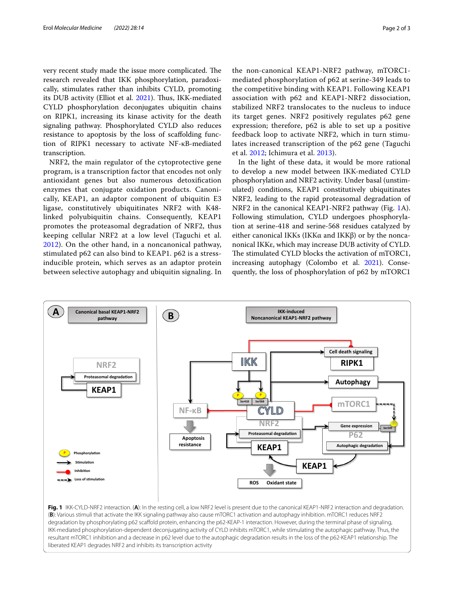very recent study made the issue more complicated. The research revealed that IKK phosphorylation, paradoxically, stimulates rather than inhibits CYLD, promoting its DUB activity (Elliot et al. [2021\)](#page-2-9). Thus, IKK-mediated CYLD phosphorylation deconjugates ubiquitin chains on RIPK1, increasing its kinase activity for the death signaling pathway. Phosphorylated CYLD also reduces resistance to apoptosis by the loss of scafolding function of RIPK1 necessary to activate NF-κB-mediated transcription.

NRF2, the main regulator of the cytoprotective gene program, is a transcription factor that encodes not only antioxidant genes but also numerous detoxifcation enzymes that conjugate oxidation products. Canonically, KEAP1, an adaptor component of ubiquitin E3 ligase, constitutively ubiquitinates NRF2 with K48 linked polyubiquitin chains. Consequently, KEAP1 promotes the proteasomal degradation of NRF2, thus keeping cellular NRF2 at a low level (Taguchi et al. [2012\)](#page-2-10). On the other hand, in a noncanonical pathway, stimulated p62 can also bind to KEAP1. p62 is a stressinducible protein, which serves as an adaptor protein between selective autophagy and ubiquitin signaling. In

the non-canonical KEAP1-NRF2 pathway, mTORC1 mediated phosphorylation of p62 at serine-349 leads to the competitive binding with KEAP1. Following KEAP1 association with p62 and KEAP1-NRF2 dissociation, stabilized NRF2 translocates to the nucleus to induce its target genes. NRF2 positively regulates p62 gene expression; therefore, p62 is able to set up a positive feedback loop to activate NRF2, which in turn stimulates increased transcription of the p62 gene (Taguchi et al. [2012;](#page-2-10) Ichimura et al. [2013](#page-2-11)).

In the light of these data, it would be more rational to develop a new model between IKK-mediated CYLD phosphorylation and NRF2 activity. Under basal (unstimulated) conditions, KEAP1 constitutively ubiquitinates NRF2, leading to the rapid proteasomal degradation of NRF2 in the canonical KEAP1-NRF2 pathway (Fig. [1](#page-1-0)A). Following stimulation, CYLD undergoes phosphorylation at serine-418 and serine-568 residues catalyzed by either canonical IKKs (IKKα and IKKβ) or by the noncanonical IKKε, which may increase DUB activity of CYLD. The stimulated CYLD blocks the activation of mTORC1, increasing autophagy (Colombo et al. [2021\)](#page-2-12). Consequently, the loss of phosphorylation of p62 by mTORC1



<span id="page-1-0"></span>**Fig. 1** IKK-CYLD-NRF2 interaction. (**A**): In the resting cell, a low NRF2 level is present due to the canonical KEAP1-NRF2 interaction and degradation. (**B**): Various stimuli that activate the IKK signaling pathway also cause mTORC1 activation and autophagy inhibition. mTORC1 reduces NRF2 degradation by phosphorylating p62 scafold protein, enhancing the p62-KEAP-1 interaction. However, during the terminal phase of signaling, IKK-mediated phosphorylation-dependent deconjugating activity of CYLD inhibits mTORC1, while stimulating the autophagic pathway. Thus, the resultant mTORC1 inhibition and a decrease in p62 level due to the autophagic degradation results in the loss of the p62-KEAP1 relationship. The liberated KEAP1 degrades NRF2 and inhibits its transcription activity